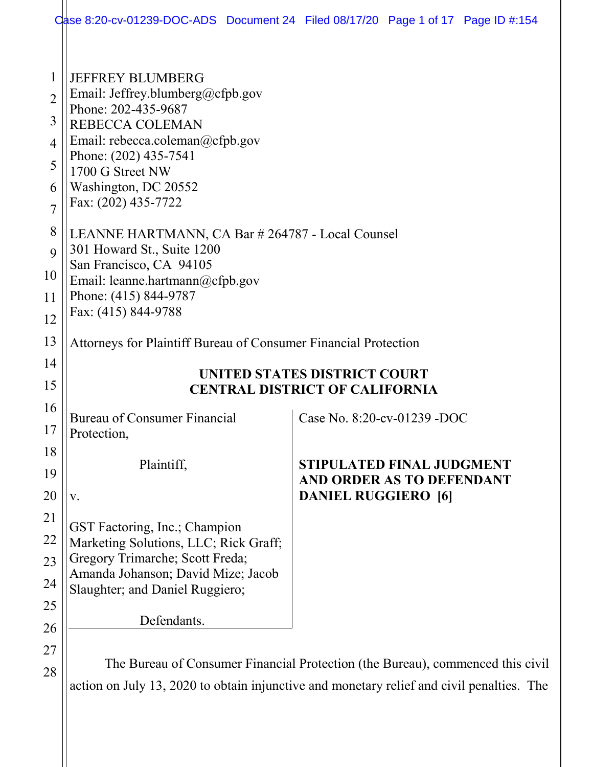|                                                           |                                                                                                                                                                                                                                      | Case 8:20-cv-01239-DOC-ADS Document 24 Filed 08/17/20 Page 1 of 17 Page ID #:154                                                                                            |  |
|-----------------------------------------------------------|--------------------------------------------------------------------------------------------------------------------------------------------------------------------------------------------------------------------------------------|-----------------------------------------------------------------------------------------------------------------------------------------------------------------------------|--|
| 1<br>$\overline{2}$<br>3<br>4<br>5<br>6<br>$\overline{7}$ | <b>JEFFREY BLUMBERG</b><br>Email: Jeffrey.blumberg@cfpb.gov<br>Phone: 202-435-9687<br>REBECCA COLEMAN<br>Email: rebecca.coleman@cfpb.gov<br>Phone: (202) 435-7541<br>1700 G Street NW<br>Washington, DC 20552<br>Fax: (202) 435-7722 |                                                                                                                                                                             |  |
| 8                                                         | LEANNE HARTMANN, CA Bar # 264787 - Local Counsel                                                                                                                                                                                     |                                                                                                                                                                             |  |
| 9                                                         | 301 Howard St., Suite 1200<br>San Francisco, CA 94105                                                                                                                                                                                |                                                                                                                                                                             |  |
| 10<br>11                                                  | Email: leanne.hartmann@cfpb.gov<br>Phone: (415) 844-9787                                                                                                                                                                             |                                                                                                                                                                             |  |
| 12                                                        | Fax: (415) 844-9788                                                                                                                                                                                                                  |                                                                                                                                                                             |  |
| 13                                                        | Attorneys for Plaintiff Bureau of Consumer Financial Protection                                                                                                                                                                      |                                                                                                                                                                             |  |
| 14                                                        |                                                                                                                                                                                                                                      |                                                                                                                                                                             |  |
| 15                                                        | <b>UNITED STATES DISTRICT COURT</b><br><b>CENTRAL DISTRICT OF CALIFORNIA</b>                                                                                                                                                         |                                                                                                                                                                             |  |
| 16<br>17                                                  | <b>Bureau of Consumer Financial</b><br>Protection,                                                                                                                                                                                   | Case No. 8:20-cv-01239 -DOC                                                                                                                                                 |  |
| 18<br>19                                                  | Plaintiff,                                                                                                                                                                                                                           | <b>STIPULATED FINAL JUDGMENT</b><br>AND ORDER AS TO DEFENDANT                                                                                                               |  |
| 20                                                        | V.                                                                                                                                                                                                                                   | <b>DANIEL RUGGIERO</b> [6]                                                                                                                                                  |  |
| 21<br>22<br>23<br>24                                      | GST Factoring, Inc.; Champion<br>Marketing Solutions, LLC; Rick Graff;<br>Gregory Trimarche; Scott Freda;<br>Amanda Johanson; David Mize; Jacob<br>Slaughter; and Daniel Ruggiero;                                                   |                                                                                                                                                                             |  |
| 25                                                        |                                                                                                                                                                                                                                      |                                                                                                                                                                             |  |
| 26                                                        | Defendants.                                                                                                                                                                                                                          |                                                                                                                                                                             |  |
| 27<br>28                                                  |                                                                                                                                                                                                                                      | The Bureau of Consumer Financial Protection (the Bureau), commenced this civil<br>action on July 13, 2020 to obtain injunctive and monetary relief and civil penalties. The |  |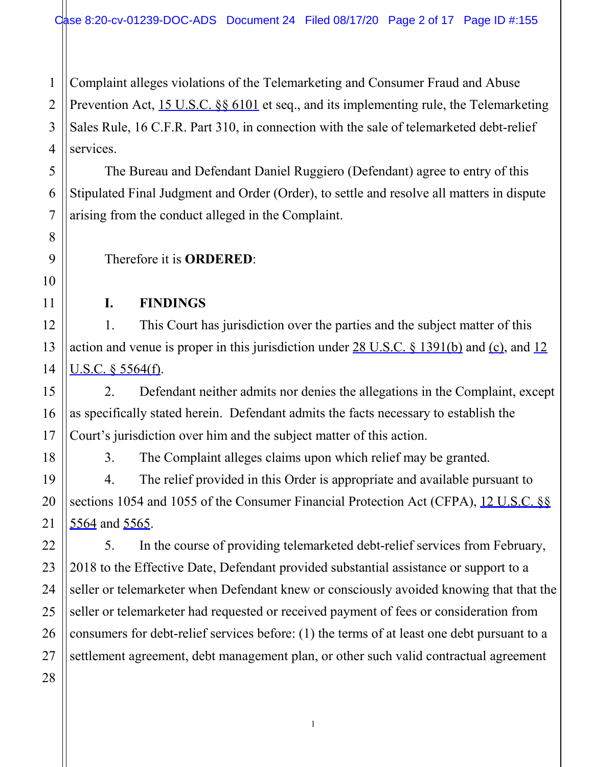1 Complaint alleges violations of the Telemarketing and Consumer Fraud and Abuse Prevention Act, 15 U.S.C. §§ 6101 et seq., and its implementing rule, the Telemarketing Sales Rule, 16 C.F.R. Part 310, in connection with the sale of telemarketed debt-relief services.

The Bureau and Defendant Daniel Ruggiero (Defendant) agree to entry of this Stipulated Final Judgment and Order (Order), to settle and resolve all matters in dispute arising from the conduct alleged in the Complaint.

Therefore it is **ORDERED**:

#### **I. FINDINGS**

1. This Court has jurisdiction over the parties and the subject matter of this action and venue is proper in this jurisdiction under 28 U.S.C. § 1391(b) and (c), and 12 U.S.C. § 5564(f).

2. Defendant neither admits nor denies the allegations in the Complaint, except as specifically stated herein. Defendant admits the facts necessary to establish the Court's jurisdiction over him and the subject matter of this action.

3. The Complaint alleges claims upon which relief may be granted.

4. The relief provided in this Order is appropriate and available pursuant to sections 1054 and 1055 of the Consumer Financial Protection Act (CFPA), 12 U.S.C. §§ 5564 and 5565.

5. In the course of providing telemarketed debt-relief services from February, 2018 to the Effective Date, Defendant provided substantial assistance or support to a seller or telemarketer when Defendant knew or consciously avoided knowing that that the seller or telemarketer had requested or received payment of fees or consideration from consumers for debt-relief services before: (1) the terms of at least one debt pursuant to a settlement agreement, debt management plan, or other such valid contractual agreement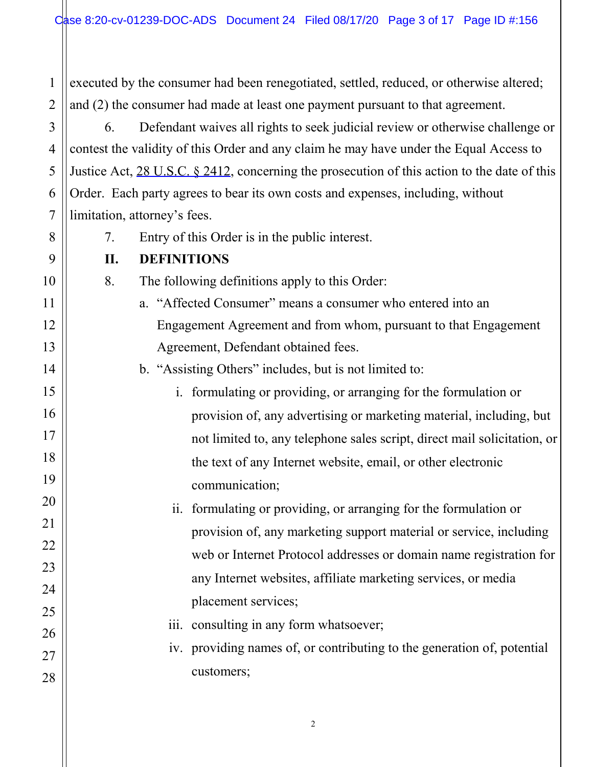1 2 executed by the consumer had been renegotiated, settled, reduced, or otherwise altered; and (2) the consumer had made at least one payment pursuant to that agreement.

6. Defendant waives all rights to seek judicial review or otherwise challenge or contest the validity of this Order and any claim he may have under the Equal Access to Justice Act, 28 U.S.C. § 2412, concerning the prosecution of this action to the date of this Order. Each party agrees to bear its own costs and expenses, including, without limitation, attorney's fees.

7. Entry of this Order is in the public interest.

## **II. DEFINITIONS**

3

4

5

6

7

8

9

10

11

12

13

14

15

16

17

18

19

20

21

22

23

24

25

26

27

28

- 8. The following definitions apply to this Order:
	- a. "Affected Consumer" means a consumer who entered into an Engagement Agreement and from whom, pursuant to that Engagement Agreement, Defendant obtained fees.

b. "Assisting Others" includes, but is not limited to:

- i. formulating or providing, or arranging for the formulation or provision of, any advertising or marketing material, including, but not limited to, any telephone sales script, direct mail solicitation, or the text of any Internet website, email, or other electronic communication;
- ii. formulating or providing, or arranging for the formulation or provision of, any marketing support material or service, including web or Internet Protocol addresses or domain name registration for any Internet websites, affiliate marketing services, or media placement services;
- iii. consulting in any form whatsoever;
- iv. providing names of, or contributing to the generation of, potential customers;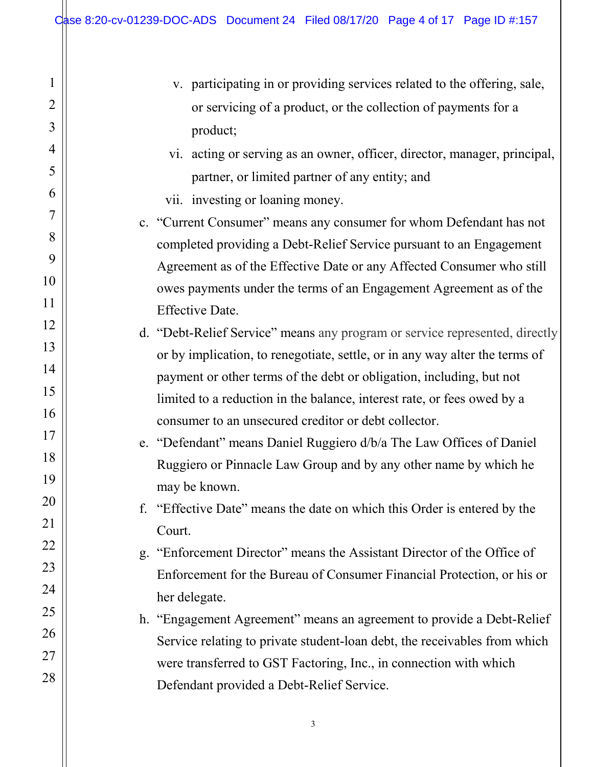1

2

3

4

5

6

7

8

9

10

11

12

13

14

15

16

17

18

19

20

21

22

23

24

25

26

27

- v. participating in or providing services related to the offering, sale, or servicing of a product, or the collection of payments for a product; vi. acting or serving as an owner, officer, director, manager, principal, partner, or limited partner of any entity; and vii. investing or loaning money. c. "Current Consumer" means any consumer for whom Defendant has not completed providing a Debt-Relief Service pursuant to an Engagement Agreement as of the Effective Date or any Affected Consumer who still owes payments under the terms of an Engagement Agreement as of the Effective Date. d. "Debt-Relief Service" means any program or service represented, directly
	- or by implication, to renegotiate, settle, or in any way alter the terms of payment or other terms of the debt or obligation, including, but not limited to a reduction in the balance, interest rate, or fees owed by a consumer to an unsecured creditor or debt collector.
	- e. "Defendant" means Daniel Ruggiero d/b/a The Law Offices of Daniel Ruggiero or Pinnacle Law Group and by any other name by which he may be known.
	- f. "Effective Date" means the date on which this Order is entered by the Court.
	- g. "Enforcement Director" means the Assistant Director of the Office of Enforcement for the Bureau of Consumer Financial Protection, or his or her delegate.
	- h. "Engagement Agreement" means an agreement to provide a Debt-Relief Service relating to private student-loan debt, the receivables from which were transferred to GST Factoring, Inc., in connection with which Defendant provided a Debt-Relief Service.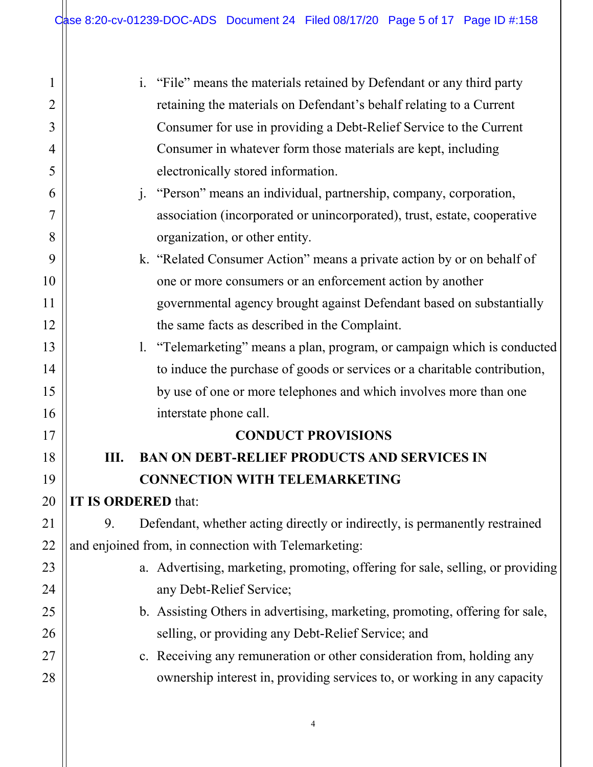$\mathbb{I}$ 

| 1              | "File" means the materials retained by Defendant or any third party<br>$\mathbf{i}$ . |  |  |
|----------------|---------------------------------------------------------------------------------------|--|--|
| $\overline{2}$ | retaining the materials on Defendant's behalf relating to a Current                   |  |  |
| 3              | Consumer for use in providing a Debt-Relief Service to the Current                    |  |  |
| 4              | Consumer in whatever form those materials are kept, including                         |  |  |
| 5              | electronically stored information.                                                    |  |  |
| 6              | "Person" means an individual, partnership, company, corporation,<br>1.                |  |  |
| 7              | association (incorporated or unincorporated), trust, estate, cooperative              |  |  |
| 8              | organization, or other entity.                                                        |  |  |
| 9              | k. "Related Consumer Action" means a private action by or on behalf of                |  |  |
| 10             | one or more consumers or an enforcement action by another                             |  |  |
| 11             | governmental agency brought against Defendant based on substantially                  |  |  |
| 12             | the same facts as described in the Complaint.                                         |  |  |
| 13             | 1. "Telemarketing" means a plan, program, or campaign which is conducted              |  |  |
| 14             | to induce the purchase of goods or services or a charitable contribution,             |  |  |
| 15             | by use of one or more telephones and which involves more than one                     |  |  |
| 16             | interstate phone call.                                                                |  |  |
| 17             | <b>CONDUCT PROVISIONS</b>                                                             |  |  |
| 18             | <b>BAN ON DEBT-RELIEF PRODUCTS AND SERVICES IN</b><br>Ш.                              |  |  |
| 19             | <b>CONNECTION WITH TELEMARKETING</b>                                                  |  |  |
| 20             | IT IS ORDERED that:                                                                   |  |  |
| 21             | Defendant, whether acting directly or indirectly, is permanently restrained<br>9.     |  |  |
| 22             | and enjoined from, in connection with Telemarketing:                                  |  |  |
| 23             | a. Advertising, marketing, promoting, offering for sale, selling, or providing        |  |  |
| 24             | any Debt-Relief Service;                                                              |  |  |
| 25             | b. Assisting Others in advertising, marketing, promoting, offering for sale,          |  |  |
| 26             | selling, or providing any Debt-Relief Service; and                                    |  |  |
| 27             | c. Receiving any remuneration or other consideration from, holding any                |  |  |
| 28             | ownership interest in, providing services to, or working in any capacity              |  |  |
|                |                                                                                       |  |  |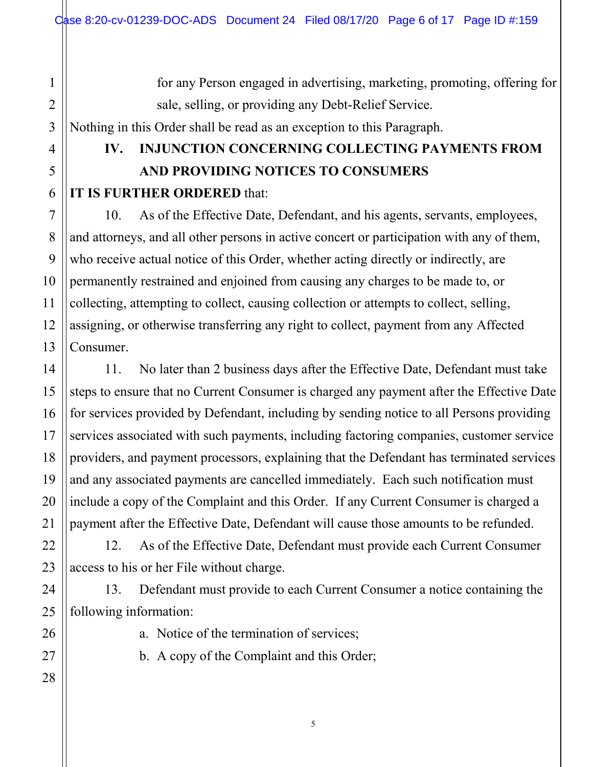for any Person engaged in advertising, marketing, promoting, offering for sale, selling, or providing any Debt-Relief Service. Nothing in this Order shall be read as an exception to this Paragraph.

# **IV. INJUNCTION CONCERNING COLLECTING PAYMENTS FROM AND PROVIDING NOTICES TO CONSUMERS IT IS FURTHER ORDERED** that:

10. As of the Effective Date, Defendant, and his agents, servants, employees, and attorneys, and all other persons in active concert or participation with any of them, who receive actual notice of this Order, whether acting directly or indirectly, are permanently restrained and enjoined from causing any charges to be made to, or collecting, attempting to collect, causing collection or attempts to collect, selling, assigning, or otherwise transferring any right to collect, payment from any Affected Consumer.

11. No later than 2 business days after the Effective Date, Defendant must take steps to ensure that no Current Consumer is charged any payment after the Effective Date for services provided by Defendant, including by sending notice to all Persons providing services associated with such payments, including factoring companies, customer service providers, and payment processors, explaining that the Defendant has terminated services and any associated payments are cancelled immediately. Each such notification must include a copy of the Complaint and this Order. If any Current Consumer is charged a payment after the Effective Date, Defendant will cause those amounts to be refunded.

12. As of the Effective Date, Defendant must provide each Current Consumer access to his or her File without charge.

13. Defendant must provide to each Current Consumer a notice containing the following information:

a. Notice of the termination of services;

b. A copy of the Complaint and this Order;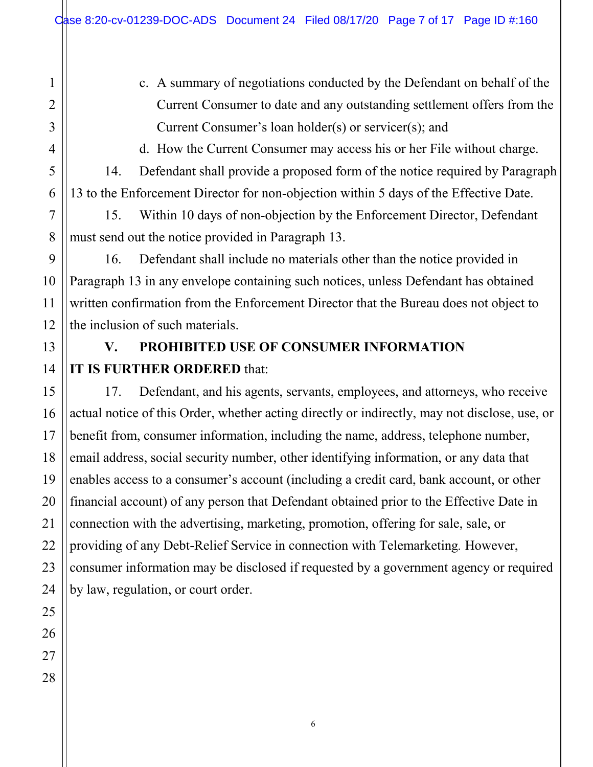- 1 2 3 4 5 6 7 8 9 10 11 12 13 14 15 16 17 18 19 20 21 22 23 24 25 26 27 28
- c. A summary of negotiations conducted by the Defendant on behalf of the Current Consumer to date and any outstanding settlement offers from the Current Consumer's loan holder(s) or servicer(s); and

d. How the Current Consumer may access his or her File without charge.

14. Defendant shall provide a proposed form of the notice required by Paragraph 13 to the Enforcement Director for non-objection within 5 days of the Effective Date.

15. Within 10 days of non-objection by the Enforcement Director, Defendant must send out the notice provided in Paragraph 13.

16. Defendant shall include no materials other than the notice provided in Paragraph 13 in any envelope containing such notices, unless Defendant has obtained written confirmation from the Enforcement Director that the Bureau does not object to the inclusion of such materials.

# **V. PROHIBITED USE OF CONSUMER INFORMATION IT IS FURTHER ORDERED** that:

17. Defendant, and his agents, servants, employees, and attorneys, who receive actual notice of this Order, whether acting directly or indirectly, may not disclose, use, or benefit from, consumer information, including the name, address, telephone number, email address, social security number, other identifying information, or any data that enables access to a consumer's account (including a credit card, bank account, or other financial account) of any person that Defendant obtained prior to the Effective Date in connection with the advertising, marketing, promotion, offering for sale, sale, or providing of any Debt-Relief Service in connection with Telemarketing*.* However, consumer information may be disclosed if requested by a government agency or required by law, regulation, or court order.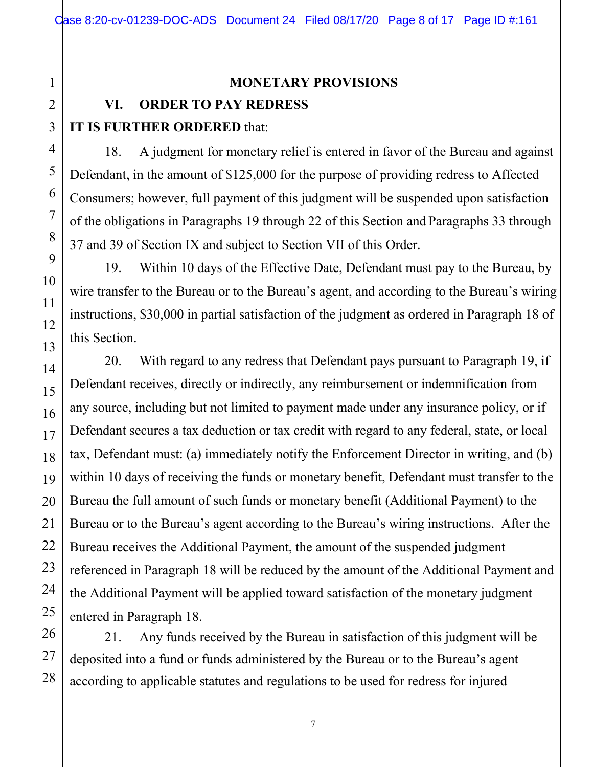#### **MONETARY PROVISIONS**

## **VI. ORDER TO PAY REDRESS**

## **IT IS FURTHER ORDERED** that:

18. A judgment for monetary relief is entered in favor of the Bureau and against Defendant, in the amount of \$125,000 for the purpose of providing redress to Affected Consumers; however, full payment of this judgment will be suspended upon satisfaction of the obligations in Paragraphs 19 through 22 of this Section and Paragraphs 33 through 37 and 39 of Section IX and subject to Section VII of this Order.

19. Within 10 days of the Effective Date, Defendant must pay to the Bureau, by wire transfer to the Bureau or to the Bureau's agent, and according to the Bureau's wiring instructions, \$30,000 in partial satisfaction of the judgment as ordered in Paragraph 18 of this Section.

20. With regard to any redress that Defendant pays pursuant to Paragraph 19, if Defendant receives, directly or indirectly, any reimbursement or indemnification from any source, including but not limited to payment made under any insurance policy, or if Defendant secures a tax deduction or tax credit with regard to any federal, state, or local tax, Defendant must: (a) immediately notify the Enforcement Director in writing, and (b) within 10 days of receiving the funds or monetary benefit, Defendant must transfer to the Bureau the full amount of such funds or monetary benefit (Additional Payment) to the Bureau or to the Bureau's agent according to the Bureau's wiring instructions. After the Bureau receives the Additional Payment, the amount of the suspended judgment referenced in Paragraph 18 will be reduced by the amount of the Additional Payment and the Additional Payment will be applied toward satisfaction of the monetary judgment entered in Paragraph 18.

21. Any funds received by the Bureau in satisfaction of this judgment will be deposited into a fund or funds administered by the Bureau or to the Bureau's agent according to applicable statutes and regulations to be used for redress for injured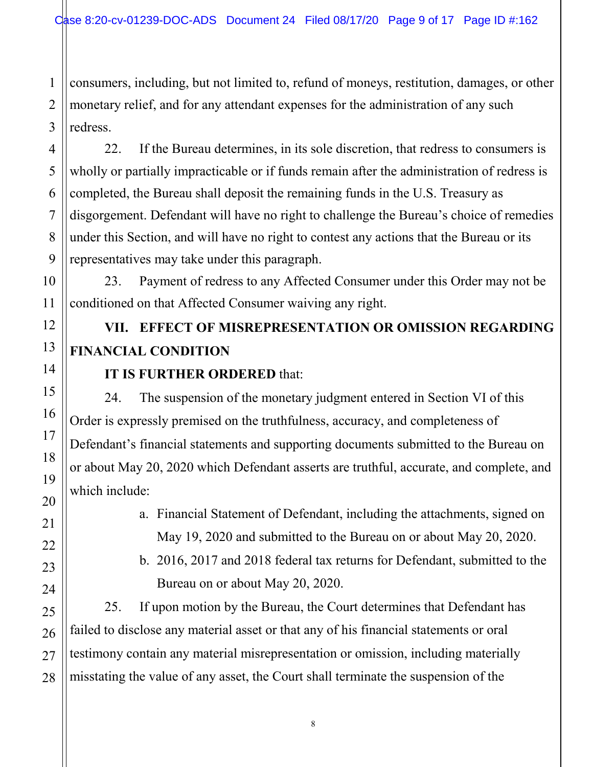1 consumers, including, but not limited to, refund of moneys, restitution, damages, or other monetary relief, and for any attendant expenses for the administration of any such redress.

22. If the Bureau determines, in its sole discretion, that redress to consumers is wholly or partially impracticable or if funds remain after the administration of redress is completed, the Bureau shall deposit the remaining funds in the U.S. Treasury as disgorgement. Defendant will have no right to challenge the Bureau's choice of remedies under this Section, and will have no right to contest any actions that the Bureau or its representatives may take under this paragraph.

23. Payment of redress to any Affected Consumer under this Order may not be conditioned on that Affected Consumer waiving any right.

# **VII. EFFECT OF MISREPRESENTATION OR OMISSION REGARDING FINANCIAL CONDITION**

## **IT IS FURTHER ORDERED** that:

24. The suspension of the monetary judgment entered in Section VI of this Order is expressly premised on the truthfulness, accuracy, and completeness of Defendant's financial statements and supporting documents submitted to the Bureau on or about May 20, 2020 which Defendant asserts are truthful, accurate, and complete, and which include:

> a. Financial Statement of Defendant, including the attachments, signed on May 19, 2020 and submitted to the Bureau on or about May 20, 2020.

> b. 2016, 2017 and 2018 federal tax returns for Defendant, submitted to the Bureau on or about May 20, 2020.

25. If upon motion by the Bureau, the Court determines that Defendant has failed to disclose any material asset or that any of his financial statements or oral testimony contain any material misrepresentation or omission, including materially misstating the value of any asset, the Court shall terminate the suspension of the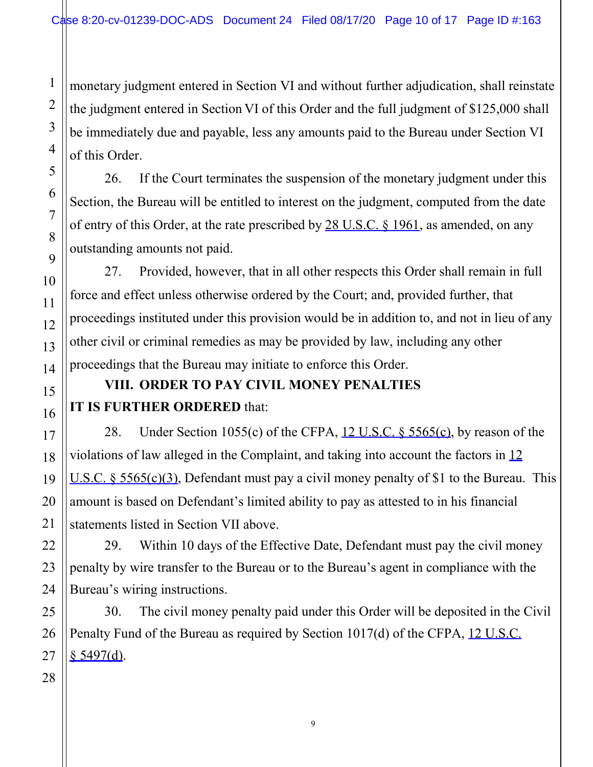monetary judgment entered in Section VI and without further adjudication, shall reinstate the judgment entered in Section VI of this Order and the full judgment of \$125,000 shall be immediately due and payable, less any amounts paid to the Bureau under Section VI of this Order.

26. If the Court terminates the suspension of the monetary judgment under this Section, the Bureau will be entitled to interest on the judgment, computed from the date of entry of this Order, at the rate prescribed by 28 U.S.C. § 1961, as amended, on any outstanding amounts not paid.

27. Provided, however, that in all other respects this Order shall remain in full force and effect unless otherwise ordered by the Court; and, provided further, that proceedings instituted under this provision would be in addition to, and not in lieu of any other civil or criminal remedies as may be provided by law, including any other proceedings that the Bureau may initiate to enforce this Order.

# **VIII. ORDER TO PAY CIVIL MONEY PENALTIES IT IS FURTHER ORDERED** that:

28. Under Section 1055(c) of the CFPA, 12 U.S.C. § 5565(c), by reason of the violations of law alleged in the Complaint, and taking into account the factors in 12 U.S.C. § 5565(c)(3), Defendant must pay a civil money penalty of \$1 to the Bureau. This amount is based on Defendant's limited ability to pay as attested to in his financial statements listed in Section VII above.

29. Within 10 days of the Effective Date, Defendant must pay the civil money penalty by wire transfer to the Bureau or to the Bureau's agent in compliance with the Bureau's wiring instructions.

30. The civil money penalty paid under this Order will be deposited in the Civil Penalty Fund of the Bureau as required by Section 1017(d) of the CFPA, 12 U.S.C.  $$5497(d).$ 

1

2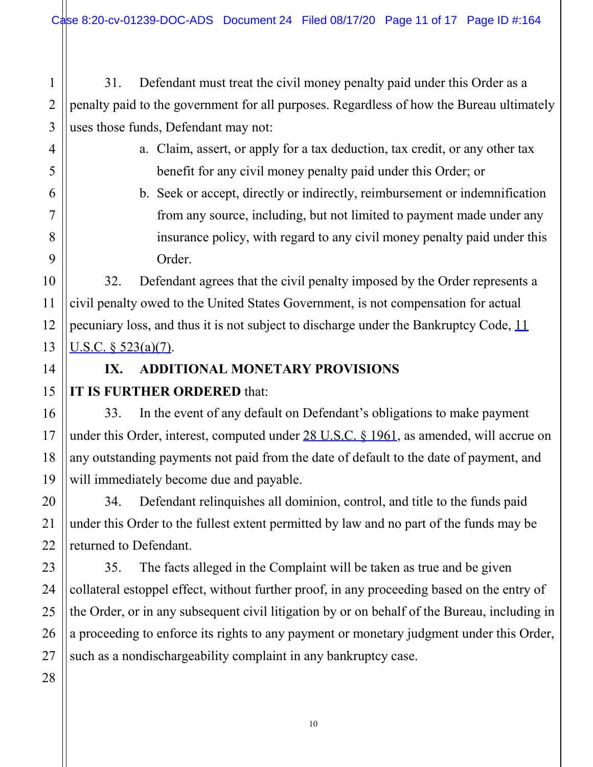Case 8:20-cv-01239-DOC-ADS Document 24 Filed 08/17/20 Page 11 of 17 Page ID #:164

31. Defendant must treat the civil money penalty paid under this Order as a penalty paid to the government for all purposes. Regardless of how the Bureau ultimately uses those funds, Defendant may not:

- a. Claim, assert, or apply for a tax deduction, tax credit, or any other tax benefit for any civil money penalty paid under this Order; or
- b. Seek or accept, directly or indirectly, reimbursement or indemnification from any source, including, but not limited to payment made under any insurance policy, with regard to any civil money penalty paid under this Order.

32. Defendant agrees that the civil penalty imposed by the Order represents a civil penalty owed to the United States Government, is not compensation for actual pecuniary loss, and thus it is not subject to discharge under the Bankruptcy Code, 11 U.S.C. § 523(a)(7).

# **IX. ADDITIONAL MONETARY PROVISIONS**

## **IT IS FURTHER ORDERED** that:

33. In the event of any default on Defendant's obligations to make payment under this Order, interest, computed under  $28$  U.S.C.  $\frac{6}{1961}$ , as amended, will accrue on any outstanding payments not paid from the date of default to the date of payment, and will immediately become due and payable.

34. Defendant relinquishes all dominion, control, and title to the funds paid under this Order to the fullest extent permitted by law and no part of the funds may be returned to Defendant.

35. The facts alleged in the Complaint will be taken as true and be given collateral estoppel effect, without further proof, in any proceeding based on the entry of the Order, or in any subsequent civil litigation by or on behalf of the Bureau, including in a proceeding to enforce its rights to any payment or monetary judgment under this Order, such as a nondischargeability complaint in any bankruptcy case.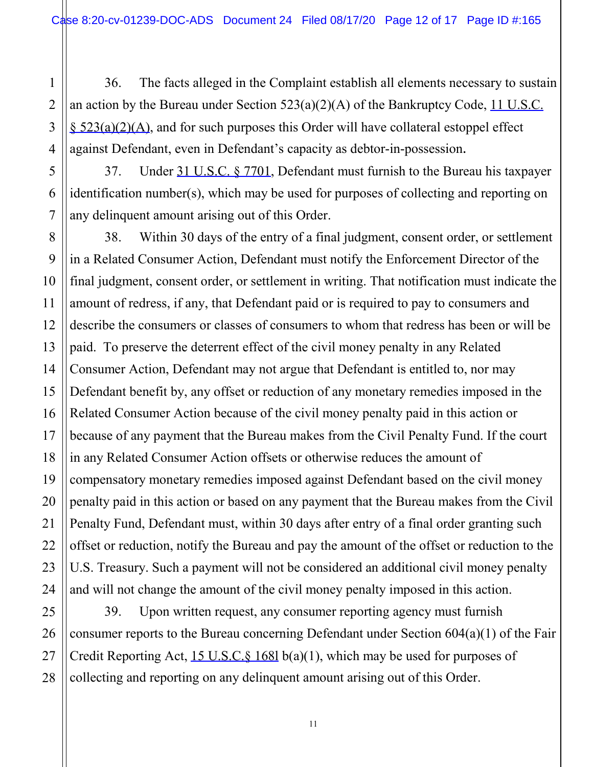1 2 36. The facts alleged in the Complaint establish all elements necessary to sustain an action by the Bureau under Section  $523(a)(2)(A)$  of the Bankruptcy Code, 11 U.S.C. § 523(a)(2)(A), and for such purposes this Order will have collateral estoppel effect against Defendant, even in Defendant's capacity as debtor-in-possession.

37. Under 31 U.S.C. § 7701, Defendant must furnish to the Bureau his taxpayer identification number(s), which may be used for purposes of collecting and reporting on any delinquent amount arising out of this Order.

38. Within 30 days of the entry of a final judgment, consent order, or settlement in a Related Consumer Action, Defendant must notify the Enforcement Director of the final judgment, consent order, or settlement in writing. That notification must indicate the amount of redress, if any, that Defendant paid or is required to pay to consumers and describe the consumers or classes of consumers to whom that redress has been or will be paid. To preserve the deterrent effect of the civil money penalty in any Related Consumer Action, Defendant may not argue that Defendant is entitled to, nor may Defendant benefit by, any offset or reduction of any monetary remedies imposed in the Related Consumer Action because of the civil money penalty paid in this action or because of any payment that the Bureau makes from the Civil Penalty Fund. If the court in any Related Consumer Action offsets or otherwise reduces the amount of compensatory monetary remedies imposed against Defendant based on the civil money penalty paid in this action or based on any payment that the Bureau makes from the Civil Penalty Fund, Defendant must, within 30 days after entry of a final order granting such offset or reduction, notify the Bureau and pay the amount of the offset or reduction to the U.S. Treasury. Such a payment will not be considered an additional civil money penalty and will not change the amount of the civil money penalty imposed in this action.

39. Upon written request, any consumer reporting agency must furnish consumer reports to the Bureau concerning Defendant under Section 604(a)(1) of the Fair Credit Reporting Act, 15 U.S.C.§ 168l b(a)(1), which may be used for purposes of collecting and reporting on any delinquent amount arising out of this Order.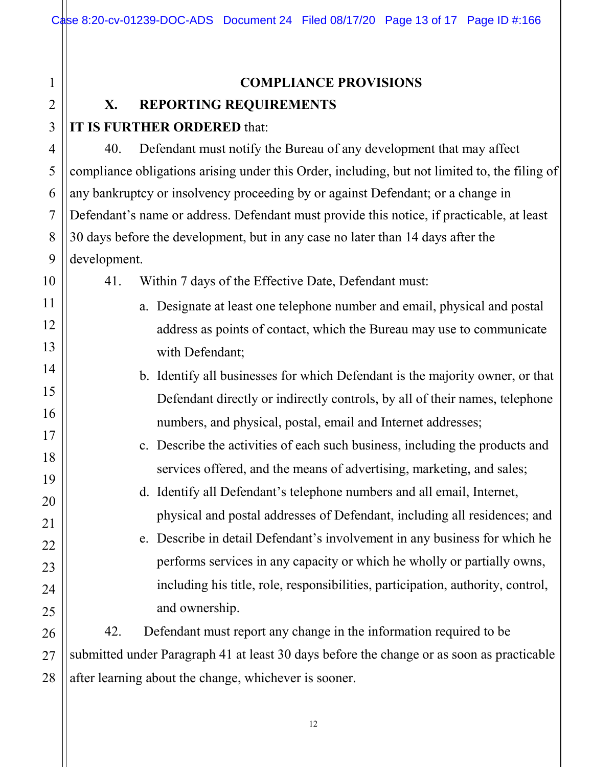Case 8:20-cv-01239-DOC-ADS Document 24 Filed 08/17/20 Page 13 of 17 Page ID #:166

#### **COMPLIANCE PROVISIONS**

## **X. REPORTING REQUIREMENTS**

## **IT IS FURTHER ORDERED** that:

40. Defendant must notify the Bureau of any development that may affect compliance obligations arising under this Order, including, but not limited to, the filing of any bankruptcy or insolvency proceeding by or against Defendant; or a change in Defendant's name or address. Defendant must provide this notice, if practicable, at least 30 days before the development, but in any case no later than 14 days after the development.

41. Within 7 days of the Effective Date, Defendant must: a. Designate at least one telephone number and email, physical and postal address as points of contact, which the Bureau may use to communicate with Defendant; b. Identify all businesses for which Defendant is the majority owner, or that Defendant directly or indirectly controls, by all of their names, telephone numbers, and physical, postal, email and Internet addresses; c. Describe the activities of each such business, including the products and services offered, and the means of advertising, marketing, and sales; d. Identify all Defendant's telephone numbers and all email, Internet, physical and postal addresses of Defendant, including all residences; and e. Describe in detail Defendant's involvement in any business for which he performs services in any capacity or which he wholly or partially owns, including his title, role, responsibilities, participation, authority, control, and ownership. 42. Defendant must report any change in the information required to be

28 submitted under Paragraph 41 at least 30 days before the change or as soon as practicable after learning about the change, whichever is sooner.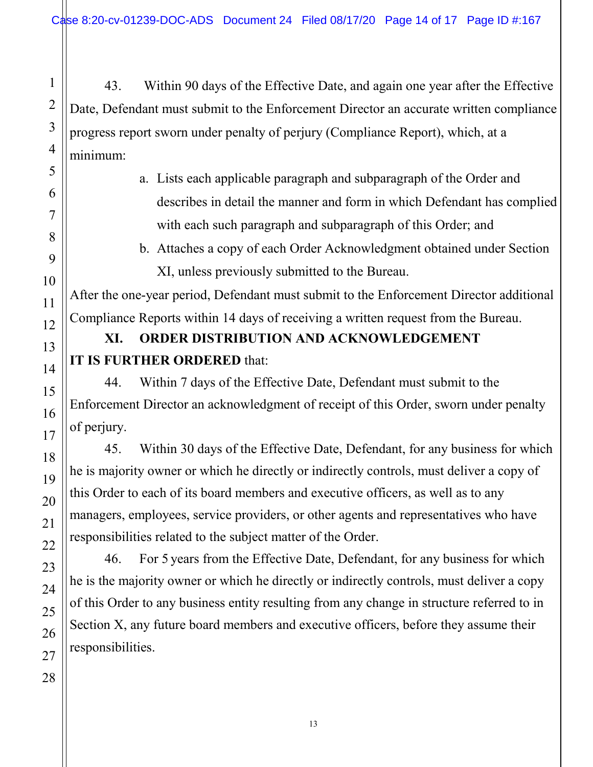43. Within 90 days of the Effective Date, and again one year after the Effective Date, Defendant must submit to the Enforcement Director an accurate written compliance progress report sworn under penalty of perjury (Compliance Report), which, at a minimum:

> a. Lists each applicable paragraph and subparagraph of the Order and describes in detail the manner and form in which Defendant has complied with each such paragraph and subparagraph of this Order; and

b. Attaches a copy of each Order Acknowledgment obtained under Section XI, unless previously submitted to the Bureau.

After the one-year period, Defendant must submit to the Enforcement Director additional Compliance Reports within 14 days of receiving a written request from the Bureau.

# **XI. ORDER DISTRIBUTION AND ACKNOWLEDGEMENT IT IS FURTHER ORDERED** that:

44. Within 7 days of the Effective Date, Defendant must submit to the Enforcement Director an acknowledgment of receipt of this Order, sworn under penalty of perjury.

45. Within 30 days of the Effective Date, Defendant, for any business for which he is majority owner or which he directly or indirectly controls, must deliver a copy of this Order to each of its board members and executive officers, as well as to any managers, employees, service providers, or other agents and representatives who have responsibilities related to the subject matter of the Order.

46. For 5 years from the Effective Date, Defendant, for any business for which he is the majority owner or which he directly or indirectly controls, must deliver a copy of this Order to any business entity resulting from any change in structure referred to in Section X, any future board members and executive officers, before they assume their responsibilities.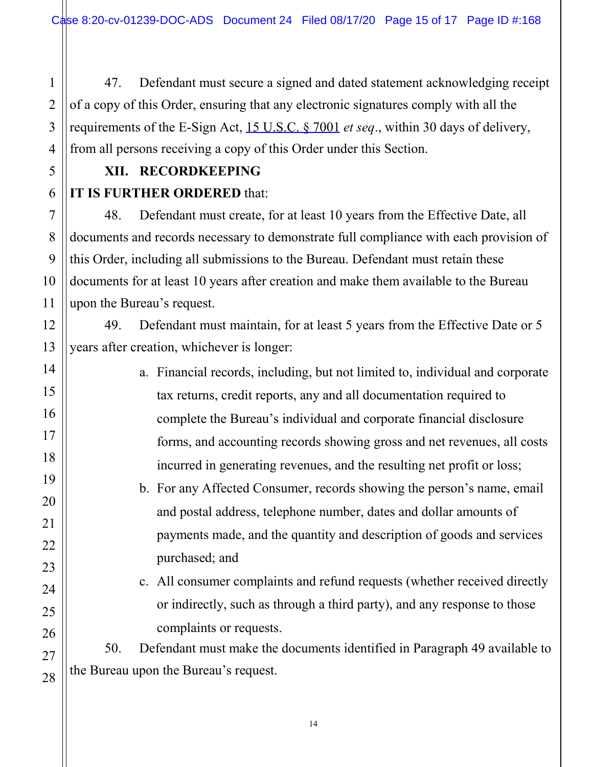47. Defendant must secure a signed and dated statement acknowledging receipt of a copy of this Order, ensuring that any electronic signatures comply with all the requirements of the E-Sign Act, 15 U.S.C. § 7001 *et seq*., within 30 days of delivery, from all persons receiving a copy of this Order under this Section.

# **XII. RECORDKEEPING**

## **IT IS FURTHER ORDERED** that:

48. Defendant must create, for at least 10 years from the Effective Date, all documents and records necessary to demonstrate full compliance with each provision of this Order, including all submissions to the Bureau. Defendant must retain these documents for at least 10 years after creation and make them available to the Bureau upon the Bureau's request.

49. Defendant must maintain, for at least 5 years from the Effective Date or 5 years after creation, whichever is longer:

- a. Financial records, including, but not limited to, individual and corporate tax returns, credit reports, any and all documentation required to complete the Bureau's individual and corporate financial disclosure forms, and accounting records showing gross and net revenues, all costs incurred in generating revenues, and the resulting net profit or loss;
	- b. For any Affected Consumer, records showing the person's name, email and postal address, telephone number, dates and dollar amounts of payments made, and the quantity and description of goods and services purchased; and
	- c. All consumer complaints and refund requests (whether received directly or indirectly, such as through a third party), and any response to those complaints or requests.

50. Defendant must make the documents identified in Paragraph 49 available to the Bureau upon the Bureau's request.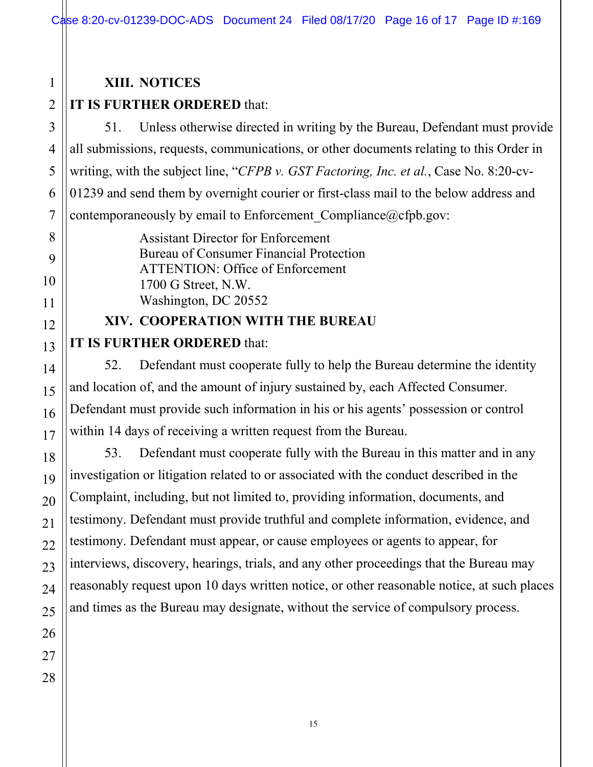## **XIII. NOTICES**

#### 2 **IT IS FURTHER ORDERED** that:

51. Unless otherwise directed in writing by the Bureau, Defendant must provide all submissions, requests, communications, or other documents relating to this Order in writing, with the subject line, "*CFPB v. GST Factoring, Inc. et al.*, Case No. 8:20-cv-01239 and send them by overnight courier or first-class mail to the below address and contemporaneously by email to Enforcement Compliance@cfpb.gov:

> Assistant Director for Enforcement Bureau of Consumer Financial Protection ATTENTION: Office of Enforcement 1700 G Street, N.W. Washington, DC 20552

## **XIV. COOPERATION WITH THE BUREAU**

## **IT IS FURTHER ORDERED** that:

52. Defendant must cooperate fully to help the Bureau determine the identity and location of, and the amount of injury sustained by, each Affected Consumer. Defendant must provide such information in his or his agents' possession or control within 14 days of receiving a written request from the Bureau.

53. Defendant must cooperate fully with the Bureau in this matter and in any investigation or litigation related to or associated with the conduct described in the Complaint, including, but not limited to, providing information, documents, and testimony. Defendant must provide truthful and complete information, evidence, and testimony. Defendant must appear, or cause employees or agents to appear, for interviews, discovery, hearings, trials, and any other proceedings that the Bureau may reasonably request upon 10 days written notice, or other reasonable notice, at such places and times as the Bureau may designate, without the service of compulsory process.